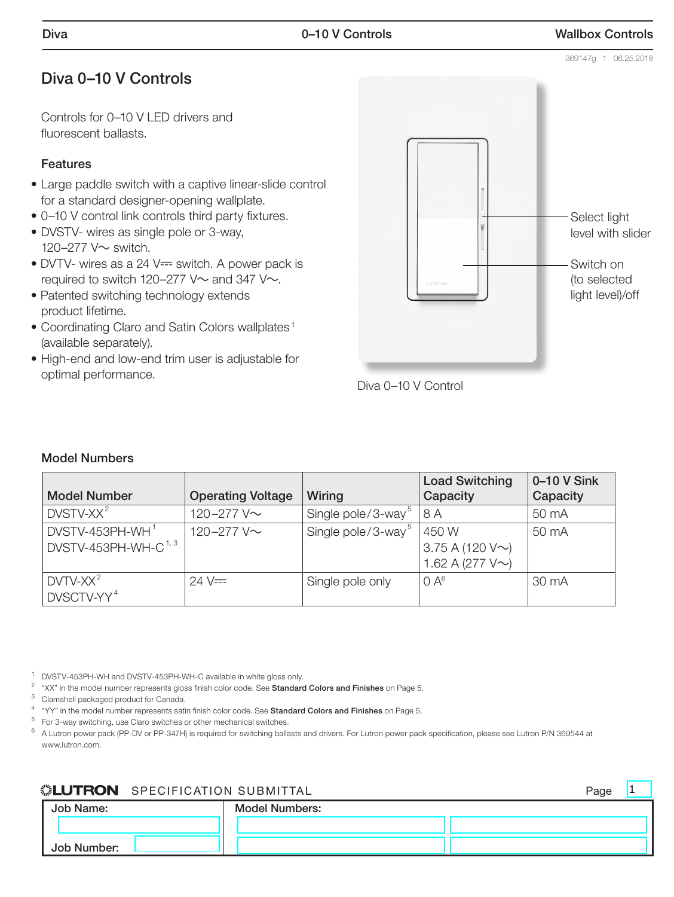## Diva 0–10 V Controls

Controls for 0–10 V LED drivers and fluorescent ballasts.

#### Features

- Large paddle switch with a captive linear-slide control for a standard designer-opening wallplate.
- • 0–10 V control link controls third party fixtures.
- DVSTV- wires as single pole or 3-way, 120–277 V~ switch.
- $\bullet$  DVTV- wires as a 24 V= switch. A power pack is required to switch 120–277 V $\sim$  and 347 V $\sim$ .
- Patented switching technology extends product lifetime.
- Coordinating Claro and Satin Colors wallplates<sup>1</sup> (available separately).
- High-end and low-end trim user is adjustable for optimal performance.





#### Model Numbers

| <b>Model Number</b>                                   | <b>Operating Voltage</b> | Wiring                         | <b>Load Switching</b><br>Capacity                        | 0-10 V Sink<br>Capacity |
|-------------------------------------------------------|--------------------------|--------------------------------|----------------------------------------------------------|-------------------------|
| $DVSTV-XX2$                                           | 120-277 V~               | Single pole/3-way <sup>5</sup> | 8 A                                                      | 50 mA                   |
| DVSTV-453PH-WH <sup>1</sup><br>DVSTV-453PH-WH-C $1,3$ | 120-277 V~               | Single pole/3-way <sup>5</sup> | 450W<br>3.75 A (120 $V \sim$ )<br>1.62 A (277 $V \sim$ ) | 50 mA                   |
| $DVTV-XX^2$<br>DVSCTV-YY <sup>4</sup>                 | $24 \text{ V} =$         | Single pole only               | 0A <sup>6</sup>                                          | 30 mA                   |

<sup>1</sup> DVSTV-453PH-WH and DVSTV-453PH-WH-C available in white gloss only.

 $2$  "XX" in the model number represents gloss finish color code. See Standard Colors and Finishes on Page 5.

<sup>3</sup> Clamshell packaged product for Canada.

<sup>4</sup> "YY" in the model number represents satin finish color code. See Standard Colors and Finishes on Page 5.

 $5$  For 3-way switching, use Claro switches or other mechanical switches.

 $^6$  A Lutron power pack (PP-DV or PP-347H) is required for switching ballasts and drivers. For Lutron power pack specification, please see Lutron P/N 369544 at www.lutron.com.

#### **SPECIFICATION SUBMITTAL** SPECIFICATION SUBMITTAL

| Job Name:   | <b>Model Numbers:</b> |  |
|-------------|-----------------------|--|
|             |                       |  |
| Job Number: |                       |  |

369147g 1 06.25.2018

 $\vert$ 1



# Select light level with slider Switch on (to selected light level)/off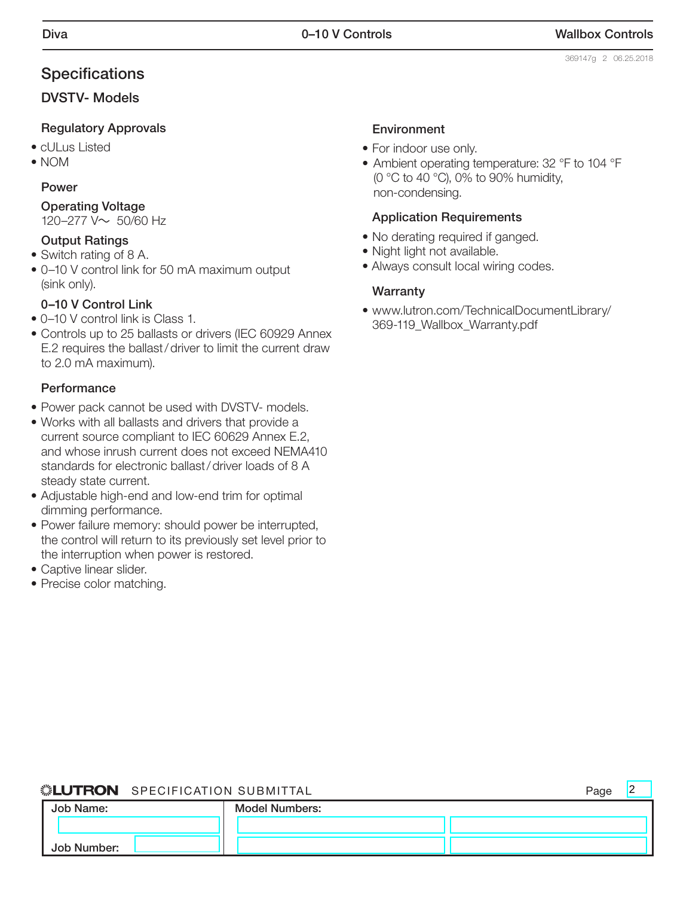2

## **Specifications**

#### DVSTV- Models

#### Regulatory Approvals

- cULus Listed
- NOM

#### Power

Operating Voltage 120–277 V~ 50/60 Hz

# Output Ratings

• Switch rating of 8 A.

• 0–10 V control link for 50 mA maximum output (sink only).

#### 0–10 V Control Link

- 0–10 V control link is Class 1.
- Controls up to 25 ballasts or drivers (IEC 60929 Annex E.2 requires the ballast/driver to limit the current draw to 2.0 mA maximum).

#### **Performance**

- Power pack cannot be used with DVSTV- models.
- Works with all ballasts and drivers that provide a current source compliant to IEC 60629 Annex E.2, and whose inrush current does not exceed NEMA410 standards for electronic ballast/driver loads of 8 A steady state current.
- Adjustable high-end and low-end trim for optimal dimming performance.
- Power failure memory: should power be interrupted, the control will return to its previously set level prior to the interruption when power is restored.
- Captive linear slider.
- Precise color matching.

#### Environment

- For indoor use only.
- Ambient operating temperature: 32 °F to 104 °F (0 °C to 40 °C), 0% to 90% humidity, non-condensing.

#### Application Requirements

- No derating required if ganged.
- Night light not available.
- Always consult local wiring codes.

#### **Warranty**

• www.lutron.com/TechnicalDocumentLibrary/ 369-119\_Wallbox\_Warranty.pdf

#### ▒LUTRON SPECIFICATION SUBMITTAL **Page**

Job Name: Job Number: Model Numbers: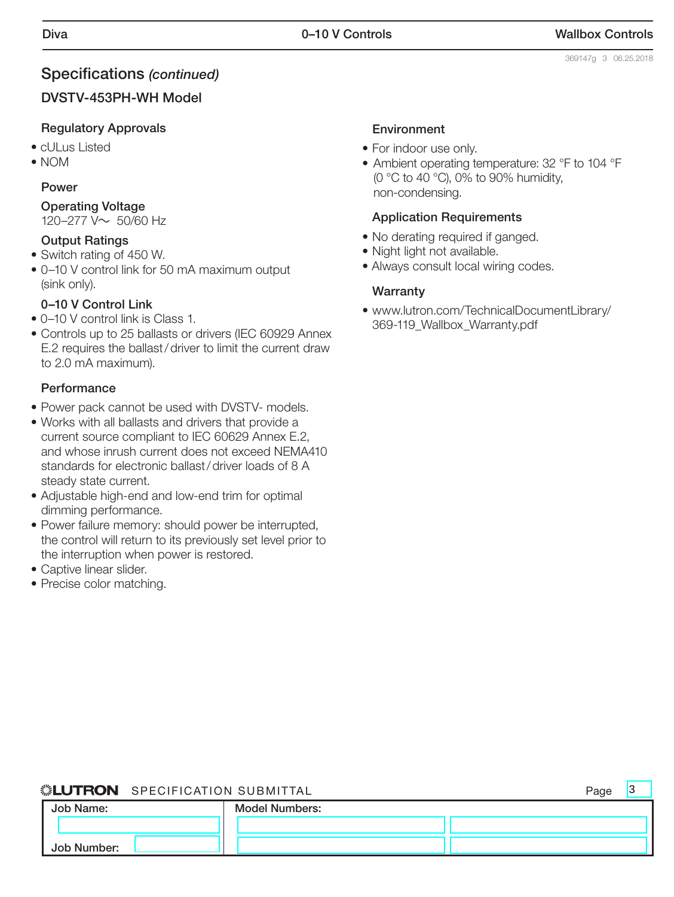$\vert$ 3

#### Specifications *(continued)*

#### DVSTV-453PH-WH Model

#### Regulatory Approvals

- cULus Listed
- NOM

#### Power

Operating Voltage

120–277 V~ 50/60 Hz

#### Output Ratings

- Switch rating of 450 W.
- • 0–10 V control link for 50 mA maximum output (sink only).

#### 0–10 V Control Link

- 0–10 V control link is Class 1.
- Controls up to 25 ballasts or drivers (IEC 60929 Annex E.2 requires the ballast/driver to limit the current draw to 2.0 mA maximum).

#### **Performance**

- Power pack cannot be used with DVSTV- models.
- Works with all ballasts and drivers that provide a current source compliant to IEC 60629 Annex E.2, and whose inrush current does not exceed NEMA410 standards for electronic ballast/driver loads of 8 A steady state current.
- Adjustable high-end and low-end trim for optimal dimming performance.
- Power failure memory: should power be interrupted, the control will return to its previously set level prior to the interruption when power is restored.
- Captive linear slider.
- Precise color matching.

#### Environment

- For indoor use only.
- Ambient operating temperature: 32 °F to 104 °F (0 °C to 40 °C), 0% to 90% humidity, non-condensing.

#### Application Requirements

- No derating required if ganged.
- Night light not available.
- Always consult local wiring codes.

#### **Warranty**

• www.lutron.com/TechnicalDocumentLibrary/ 369-119\_Wallbox\_Warranty.pdf

#### SPECIFICATION SUBMITTAL Page

| Job Name:   | <b>Model Numbers:</b> |  |
|-------------|-----------------------|--|
|             |                       |  |
| Job Number: |                       |  |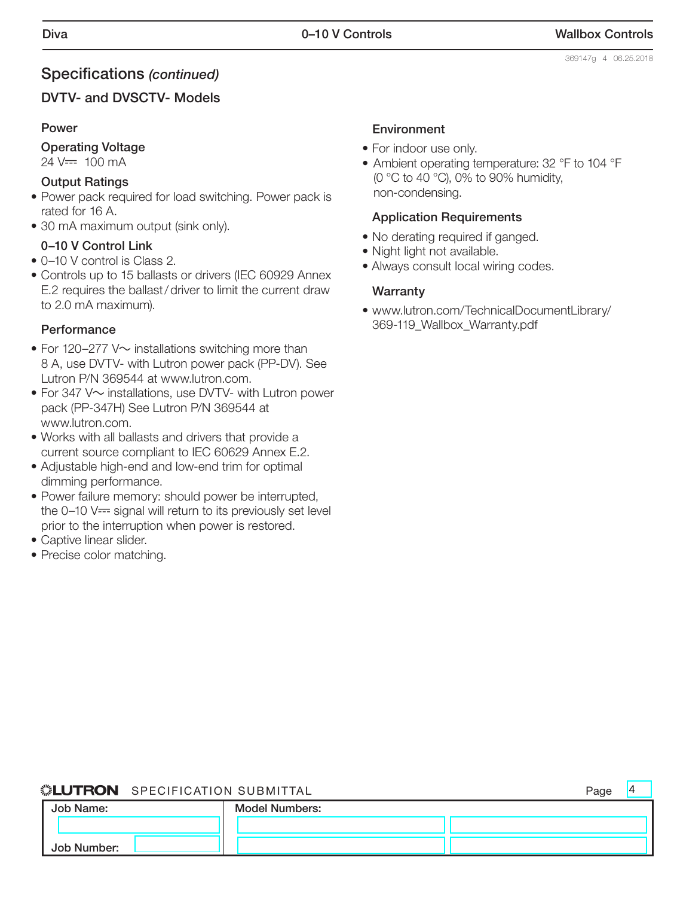4

#### Specifications *(continued)*

#### DVTV- and DVSCTV- Models

#### Power

#### Operating Voltage

 $24$  V=  $100$  mA

#### Output Ratings

- Power pack required for load switching. Power pack is rated for 16 A.
- 30 mA maximum output (sink only).

#### 0–10 V Control Link

- 0–10 V control is Class 2.
- Controls up to 15 ballasts or drivers (IEC 60929 Annex E.2 requires the ballast/driver to limit the current draw to 2.0 mA maximum).

#### **Performance**

- For 120–277 V $\sim$  installations switching more than 8 A, use DVTV- with Lutron power pack (PP-DV). See Lutron P/N 369544 at www.lutron.com.
- For 347  $V \sim$  installations, use DVTV- with Lutron power pack (PP-347H) See Lutron P/N 369544 at www.lutron.com.
- Works with all ballasts and drivers that provide a current source compliant to IEC 60629 Annex E.2.
- Adjustable high-end and low-end trim for optimal dimming performance.
- Power failure memory: should power be interrupted, the  $0-10$  V $\equiv$  signal will return to its previously set level prior to the interruption when power is restored.
- Captive linear slider.
- Precise color matching.

#### Environment

- For indoor use only.
- Ambient operating temperature: 32 °F to 104 °F (0 °C to 40 °C), 0% to 90% humidity, non-condensing.

#### Application Requirements

- No derating required if ganged.
- Night light not available.
- Always consult local wiring codes.

#### **Warranty**

• www.lutron.com/TechnicalDocumentLibrary/ 369-119\_Wallbox\_Warranty.pdf

#### SPECIFICATION SUBMITTAL Page

| Job Name:   | <b>Model Numbers:</b> |  |
|-------------|-----------------------|--|
|             |                       |  |
| Job Number: |                       |  |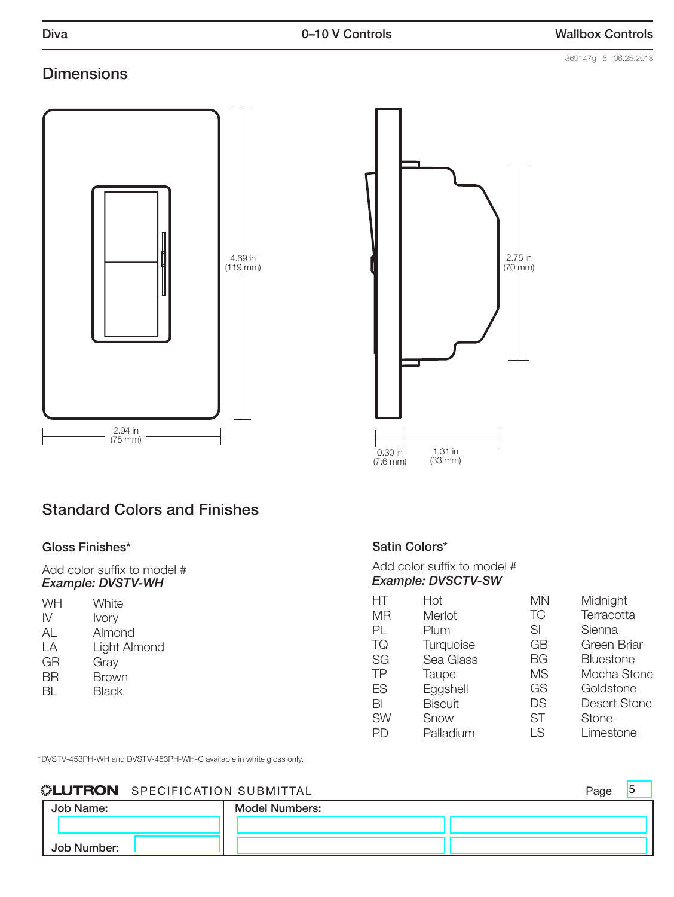#### **Dimensions**





# Standard Colors and Finishes

#### Gloss Finishes\*

Add color suffix to model # *Example: DVSTV-WH* 

| WH | White        |
|----|--------------|
| IV | <b>Ivory</b> |
| AL | Almond       |
| ΙA | Light Almond |
| GR | Gray         |
| ΒR | <b>Brown</b> |
| BL | Black        |
|    |              |

#### Satin Colors\*

| Add color suffix to model # |  |
|-----------------------------|--|
| <b>Example: DVSCTV-SW</b>   |  |

| НT        | Hot            | ΜN        | Midnight            |
|-----------|----------------|-----------|---------------------|
| <b>MR</b> | Merlot         | <b>TC</b> | Terracotta          |
| PL        | Plum           | SI        | Sienna              |
| TQ        | Turquoise      | GB        | Green Briar         |
| SG        | Sea Glass      | <b>BG</b> | <b>Bluestone</b>    |
| TP        | Taupe          | <b>MS</b> | Mocha Stone         |
| ES        | Eggshell       | GS        | Goldstone           |
| BI        | <b>Biscuit</b> | DS        | <b>Desert Stone</b> |
| <b>SW</b> | Snow           | ST        | Stone               |
|           | Palladium      | LS        | Limestone           |

\*DVSTV-453PH-WH and DVSTV-453PH-WH-C available in white gloss only.

#### **SUILITRON** SPECIFICATION SUBMITTAL

|             | <b>NEUTRON</b> SPECIFICATION SUBMITTAL |                | Page |
|-------------|----------------------------------------|----------------|------|
| Job Name:   |                                        | Model Numbers: |      |
|             |                                        |                |      |
| Job Number: |                                        |                |      |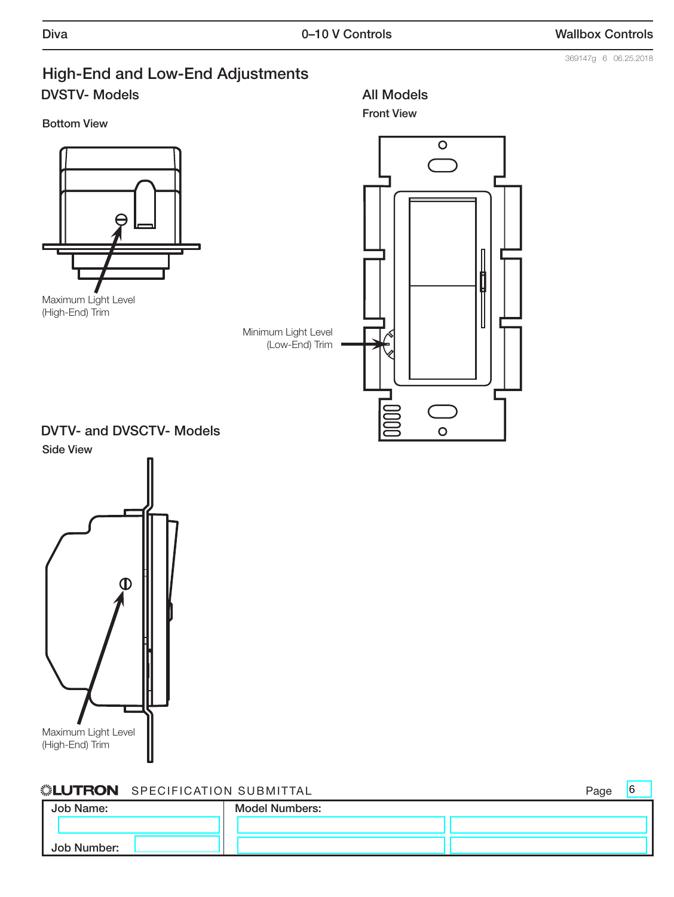369147g 6 06.25.2018

## High-End and Low-End Adjustments DVSTV- Models

Bottom View





Front View

All Models

DVTV- and DVSCTV- Models



#### **. LUTRON** SPECIFICATION SUBMITTAL **Page**

Job Name: Job Number: Model Numbers: 6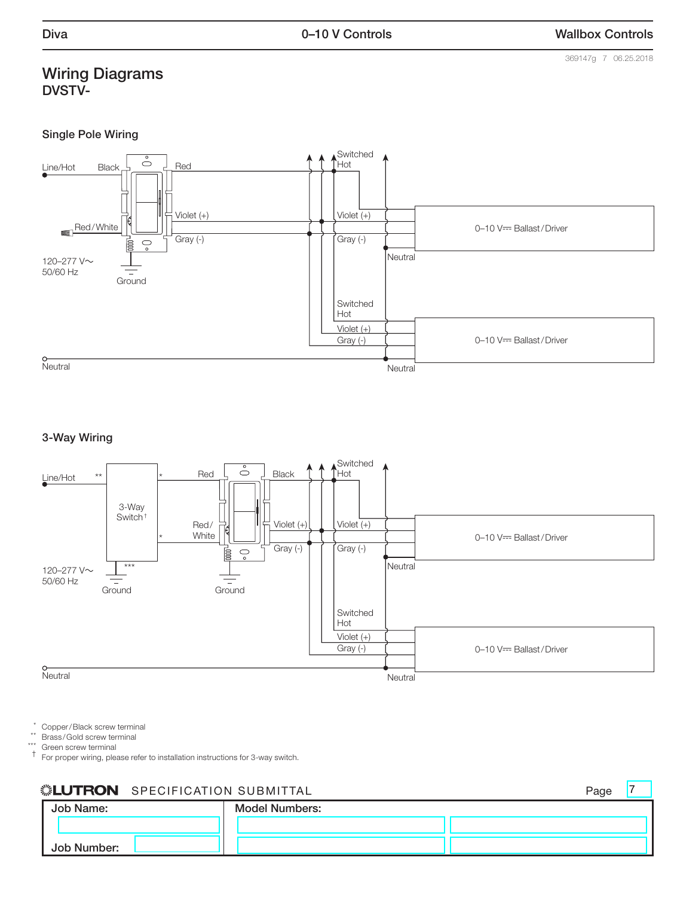#### Wiring Diagrams DVSTV-

369147g 7 06.25.2018

 $\overline{7}$ 

#### Single Pole Wiring



#### 3-Way Wiring



 $*$  Copper/Black screw terminal

\*\* Brass /Gold screw terminal

\*\*\* Green screw terminal

† For proper wiring, please refer to installation instructions for 3-way switch.

#### **SPECIFICATION SUBMITTAL** And the settlement of the settlement of the settlement of the settlement of the settlement of the settlement of the settlement of the settlement of the settlement of the settlement of the settleme

|             |                       | . <u>.</u> |
|-------------|-----------------------|------------|
| Job Name:   | <b>Model Numbers:</b> |            |
|             |                       |            |
| Job Number: |                       |            |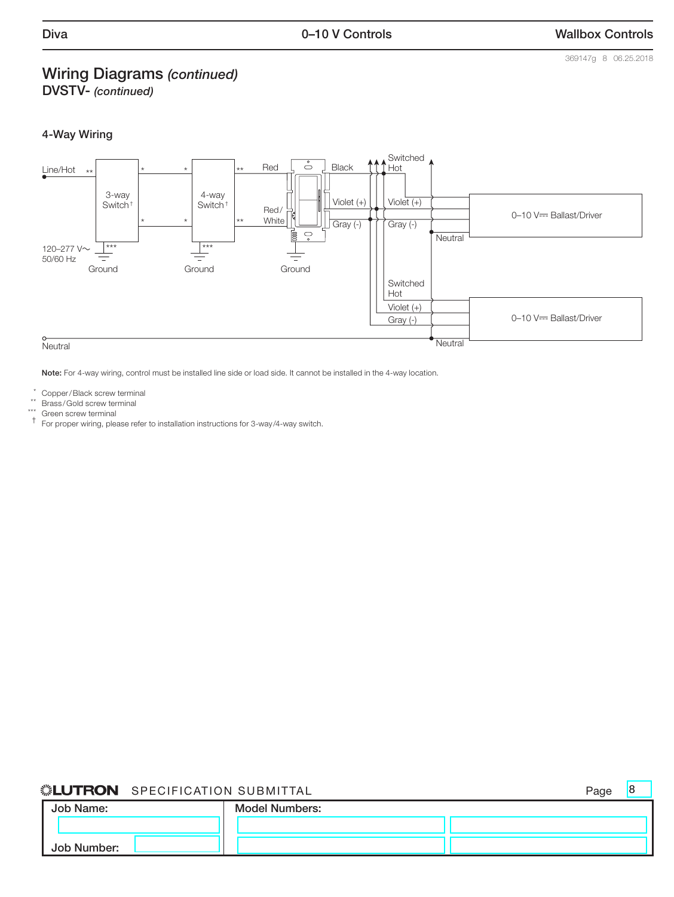#### Wiring Diagrams *(continued)*

DVSTV- *(continued)*

#### 4-Way Wiring



Note: For 4-way wiring, control must be installed line side or load side. It cannot be installed in the 4-way location.

\* Copper/Black screw terminal

\*\* Brass/Gold screw terminal

Green screw terminal

† For proper wiring, please refer to installation instructions for 3-way /4-way switch.

#### **SPECIFICATION SUBMITTAL** SPECIFICATION SUBMITTAL

8

| Job Name:   | <b>Model Numbers:</b> |  |
|-------------|-----------------------|--|
|             |                       |  |
| Job Number: |                       |  |

369147g 8 06.25.2018